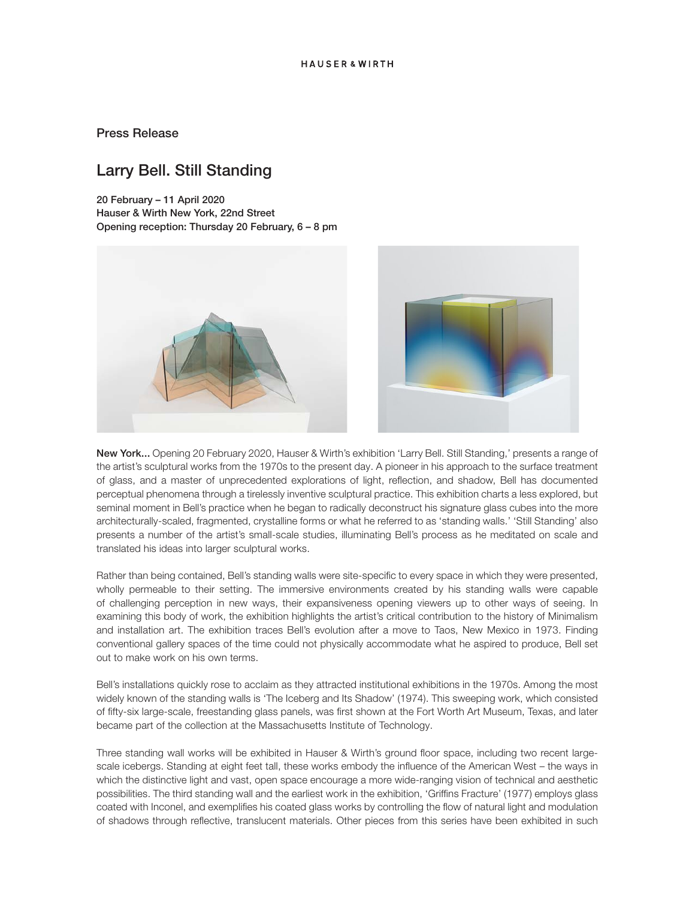## Press Release

# Larry Bell. Still Standing

20 February – 11 April 2020 Hauser & Wirth New York, 22nd Street Opening reception: Thursday 20 February, 6 – 8 pm





New York... Opening 20 February 2020, Hauser & Wirth's exhibition 'Larry Bell. Still Standing,' presents a range of the artist's sculptural works from the 1970s to the present day. A pioneer in his approach to the surface treatment of glass, and a master of unprecedented explorations of light, reflection, and shadow, Bell has documented perceptual phenomena through a tirelessly inventive sculptural practice. This exhibition charts a less explored, but seminal moment in Bell's practice when he began to radically deconstruct his signature glass cubes into the more architecturally-scaled, fragmented, crystalline forms or what he referred to as 'standing walls.' 'Still Standing' also presents a number of the artist's small-scale studies, illuminating Bell's process as he meditated on scale and translated his ideas into larger sculptural works.

Rather than being contained, Bell's standing walls were site-specific to every space in which they were presented, wholly permeable to their setting. The immersive environments created by his standing walls were capable of challenging perception in new ways, their expansiveness opening viewers up to other ways of seeing. In examining this body of work, the exhibition highlights the artist's critical contribution to the history of Minimalism and installation art. The exhibition traces Bell's evolution after a move to Taos, New Mexico in 1973. Finding conventional gallery spaces of the time could not physically accommodate what he aspired to produce, Bell set out to make work on his own terms.

Bell's installations quickly rose to acclaim as they attracted institutional exhibitions in the 1970s. Among the most widely known of the standing walls is 'The Iceberg and Its Shadow' (1974). This sweeping work, which consisted of fifty-six large-scale, freestanding glass panels, was first shown at the Fort Worth Art Museum, Texas, and later became part of the collection at the Massachusetts Institute of Technology.

Three standing wall works will be exhibited in Hauser & Wirth's ground floor space, including two recent largescale icebergs. Standing at eight feet tall, these works embody the influence of the American West – the ways in which the distinctive light and vast, open space encourage a more wide-ranging vision of technical and aesthetic possibilities. The third standing wall and the earliest work in the exhibition, 'Griffins Fracture' (1977) employs glass coated with Inconel, and exemplifies his coated glass works by controlling the flow of natural light and modulation of shadows through reflective, translucent materials. Other pieces from this series have been exhibited in such